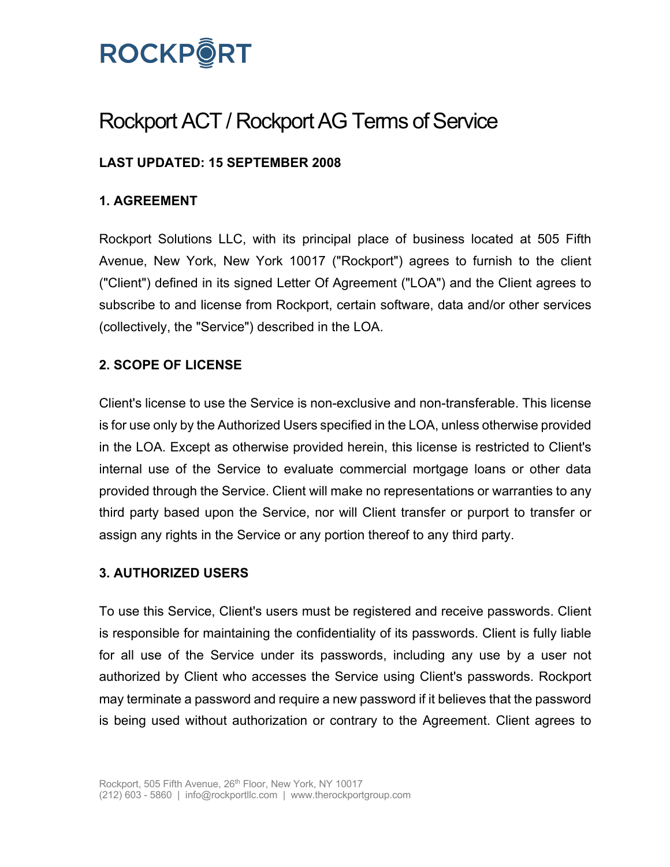

# Rockport ACT / Rockport AG Terms of Service

# **LAST UPDATED: 15 SEPTEMBER 2008**

# **1. AGREEMENT**

Rockport Solutions LLC, with its principal place of business located at 505 Fifth Avenue, New York, New York 10017 ("Rockport") agrees to furnish to the client ("Client") defined in its signed Letter Of Agreement ("LOA") and the Client agrees to subscribe to and license from Rockport, certain software, data and/or other services (collectively, the "Service") described in the LOA.

# **2. SCOPE OF LICENSE**

Client's license to use the Service is non-exclusive and non-transferable. This license is for use only by the Authorized Users specified in the LOA, unless otherwise provided in the LOA. Except as otherwise provided herein, this license is restricted to Client's internal use of the Service to evaluate commercial mortgage loans or other data provided through the Service. Client will make no representations or warranties to any third party based upon the Service, nor will Client transfer or purport to transfer or assign any rights in the Service or any portion thereof to any third party.

## **3. AUTHORIZED USERS**

To use this Service, Client's users must be registered and receive passwords. Client is responsible for maintaining the confidentiality of its passwords. Client is fully liable for all use of the Service under its passwords, including any use by a user not authorized by Client who accesses the Service using Client's passwords. Rockport may terminate a password and require a new password if it believes that the password is being used without authorization or contrary to the Agreement. Client agrees to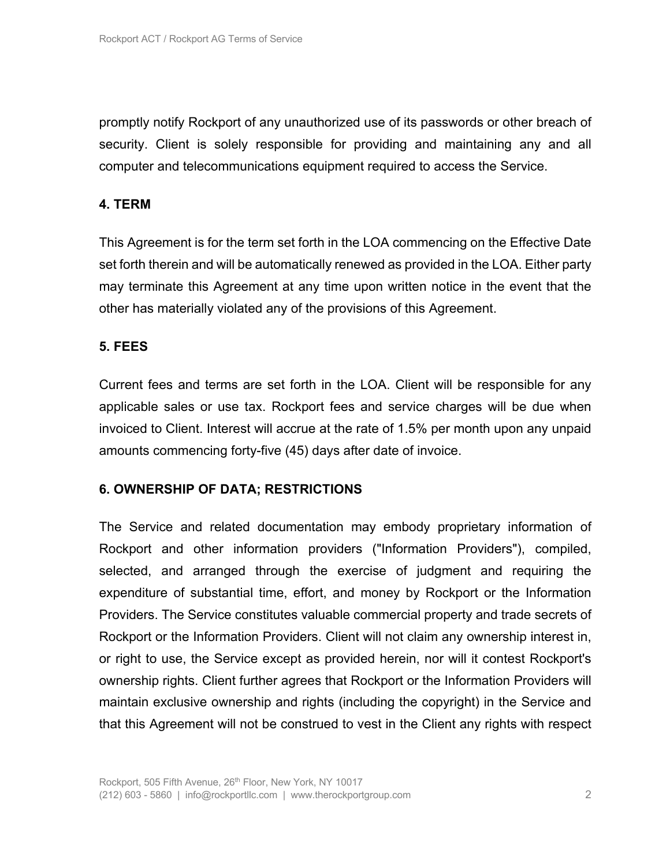promptly notify Rockport of any unauthorized use of its passwords or other breach of security. Client is solely responsible for providing and maintaining any and all computer and telecommunications equipment required to access the Service.

# **4. TERM**

This Agreement is for the term set forth in the LOA commencing on the Effective Date set forth therein and will be automatically renewed as provided in the LOA. Either party may terminate this Agreement at any time upon written notice in the event that the other has materially violated any of the provisions of this Agreement.

## **5. FEES**

Current fees and terms are set forth in the LOA. Client will be responsible for any applicable sales or use tax. Rockport fees and service charges will be due when invoiced to Client. Interest will accrue at the rate of 1.5% per month upon any unpaid amounts commencing forty-five (45) days after date of invoice.

## **6. OWNERSHIP OF DATA; RESTRICTIONS**

The Service and related documentation may embody proprietary information of Rockport and other information providers ("Information Providers"), compiled, selected, and arranged through the exercise of judgment and requiring the expenditure of substantial time, effort, and money by Rockport or the Information Providers. The Service constitutes valuable commercial property and trade secrets of Rockport or the Information Providers. Client will not claim any ownership interest in, or right to use, the Service except as provided herein, nor will it contest Rockport's ownership rights. Client further agrees that Rockport or the Information Providers will maintain exclusive ownership and rights (including the copyright) in the Service and that this Agreement will not be construed to vest in the Client any rights with respect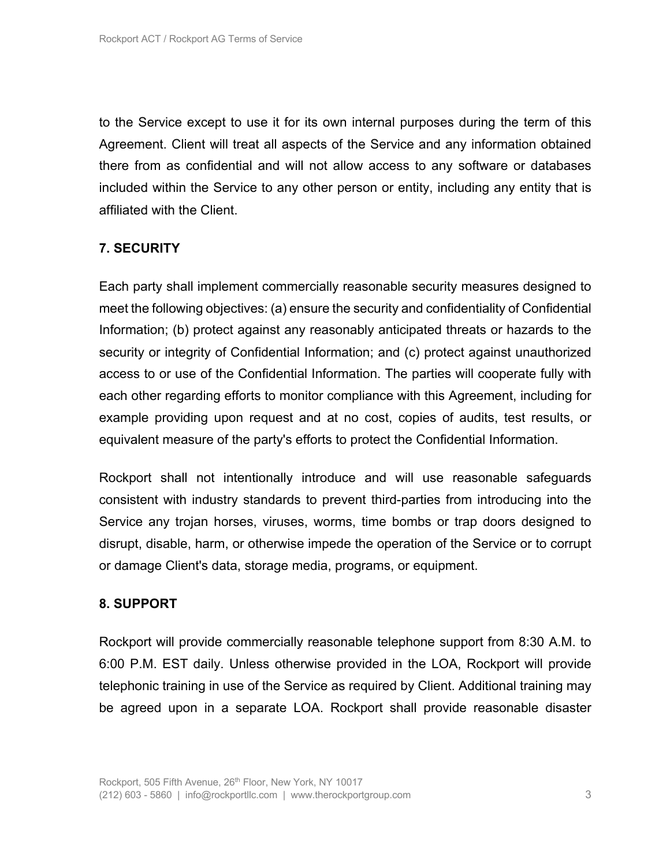to the Service except to use it for its own internal purposes during the term of this Agreement. Client will treat all aspects of the Service and any information obtained there from as confidential and will not allow access to any software or databases included within the Service to any other person or entity, including any entity that is affiliated with the Client.

# **7. SECURITY**

Each party shall implement commercially reasonable security measures designed to meet the following objectives: (a) ensure the security and confidentiality of Confidential Information; (b) protect against any reasonably anticipated threats or hazards to the security or integrity of Confidential Information; and (c) protect against unauthorized access to or use of the Confidential Information. The parties will cooperate fully with each other regarding efforts to monitor compliance with this Agreement, including for example providing upon request and at no cost, copies of audits, test results, or equivalent measure of the party's efforts to protect the Confidential Information.

Rockport shall not intentionally introduce and will use reasonable safeguards consistent with industry standards to prevent third-parties from introducing into the Service any trojan horses, viruses, worms, time bombs or trap doors designed to disrupt, disable, harm, or otherwise impede the operation of the Service or to corrupt or damage Client's data, storage media, programs, or equipment.

## **8. SUPPORT**

Rockport will provide commercially reasonable telephone support from 8:30 A.M. to 6:00 P.M. EST daily. Unless otherwise provided in the LOA, Rockport will provide telephonic training in use of the Service as required by Client. Additional training may be agreed upon in a separate LOA. Rockport shall provide reasonable disaster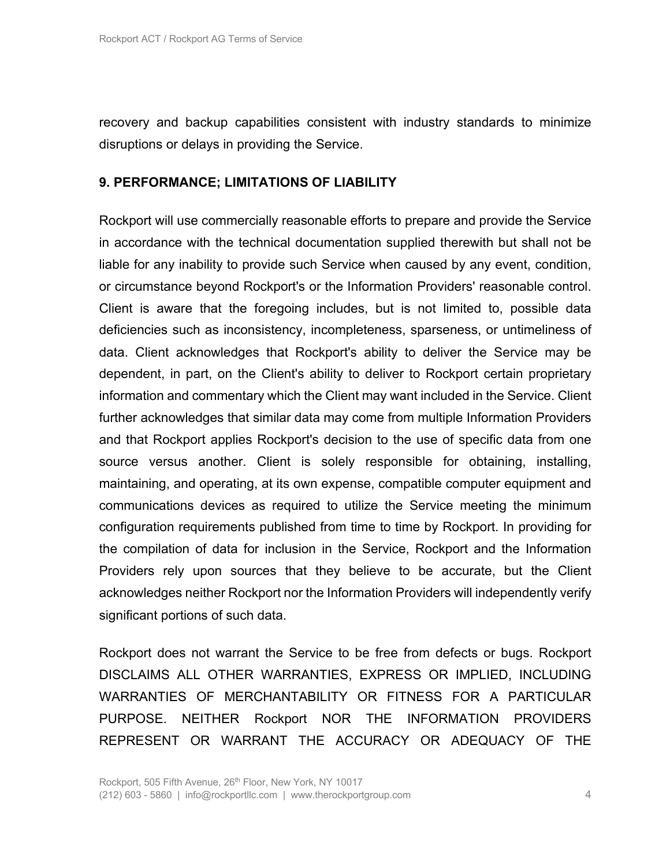recovery and backup capabilities consistent with industry standards to minimize disruptions or delays in providing the Service.

# **9. PERFORMANCE; LIMITATIONS OF LIABILITY**

Rockport will use commercially reasonable efforts to prepare and provide the Service in accordance with the technical documentation supplied therewith but shall not be liable for any inability to provide such Service when caused by any event, condition, or circumstance beyond Rockport's or the Information Providers' reasonable control. Client is aware that the foregoing includes, but is not limited to, possible data deficiencies such as inconsistency, incompleteness, sparseness, or untimeliness of data. Client acknowledges that Rockport's ability to deliver the Service may be dependent, in part, on the Client's ability to deliver to Rockport certain proprietary information and commentary which the Client may want included in the Service. Client further acknowledges that similar data may come from multiple Information Providers and that Rockport applies Rockport's decision to the use of specific data from one source versus another. Client is solely responsible for obtaining, installing, maintaining, and operating, at its own expense, compatible computer equipment and communications devices as required to utilize the Service meeting the minimum configuration requirements published from time to time by Rockport. In providing for the compilation of data for inclusion in the Service, Rockport and the Information Providers rely upon sources that they believe to be accurate, but the Client acknowledges neither Rockport nor the Information Providers will independently verify significant portions of such data.

Rockport does not warrant the Service to be free from defects or bugs. Rockport DISCLAIMS ALL OTHER WARRANTIES, EXPRESS OR IMPLIED, INCLUDING WARRANTIES OF MERCHANTABILITY OR FITNESS FOR A PARTICULAR PURPOSE. NEITHER Rockport NOR THE INFORMATION PROVIDERS REPRESENT OR WARRANT THE ACCURACY OR ADEQUACY OF THE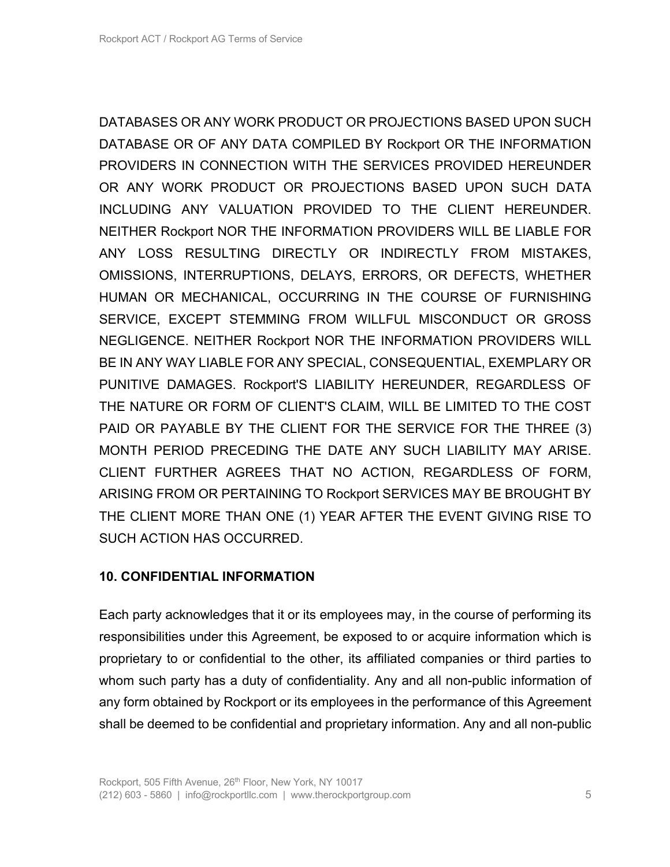DATABASES OR ANY WORK PRODUCT OR PROJECTIONS BASED UPON SUCH DATABASE OR OF ANY DATA COMPILED BY Rockport OR THE INFORMATION PROVIDERS IN CONNECTION WITH THE SERVICES PROVIDED HEREUNDER OR ANY WORK PRODUCT OR PROJECTIONS BASED UPON SUCH DATA INCLUDING ANY VALUATION PROVIDED TO THE CLIENT HEREUNDER. NEITHER Rockport NOR THE INFORMATION PROVIDERS WILL BE LIABLE FOR ANY LOSS RESULTING DIRECTLY OR INDIRECTLY FROM MISTAKES, OMISSIONS, INTERRUPTIONS, DELAYS, ERRORS, OR DEFECTS, WHETHER HUMAN OR MECHANICAL, OCCURRING IN THE COURSE OF FURNISHING SERVICE, EXCEPT STEMMING FROM WILLFUL MISCONDUCT OR GROSS NEGLIGENCE. NEITHER Rockport NOR THE INFORMATION PROVIDERS WILL BE IN ANY WAY LIABLE FOR ANY SPECIAL, CONSEQUENTIAL, EXEMPLARY OR PUNITIVE DAMAGES. Rockport'S LIABILITY HEREUNDER, REGARDLESS OF THE NATURE OR FORM OF CLIENT'S CLAIM, WILL BE LIMITED TO THE COST PAID OR PAYABLE BY THE CLIENT FOR THE SERVICE FOR THE THREE (3) MONTH PERIOD PRECEDING THE DATE ANY SUCH LIABILITY MAY ARISE. CLIENT FURTHER AGREES THAT NO ACTION, REGARDLESS OF FORM, ARISING FROM OR PERTAINING TO Rockport SERVICES MAY BE BROUGHT BY THE CLIENT MORE THAN ONE (1) YEAR AFTER THE EVENT GIVING RISE TO SUCH ACTION HAS OCCURRED.

## **10. CONFIDENTIAL INFORMATION**

Each party acknowledges that it or its employees may, in the course of performing its responsibilities under this Agreement, be exposed to or acquire information which is proprietary to or confidential to the other, its affiliated companies or third parties to whom such party has a duty of confidentiality. Any and all non-public information of any form obtained by Rockport or its employees in the performance of this Agreement shall be deemed to be confidential and proprietary information. Any and all non-public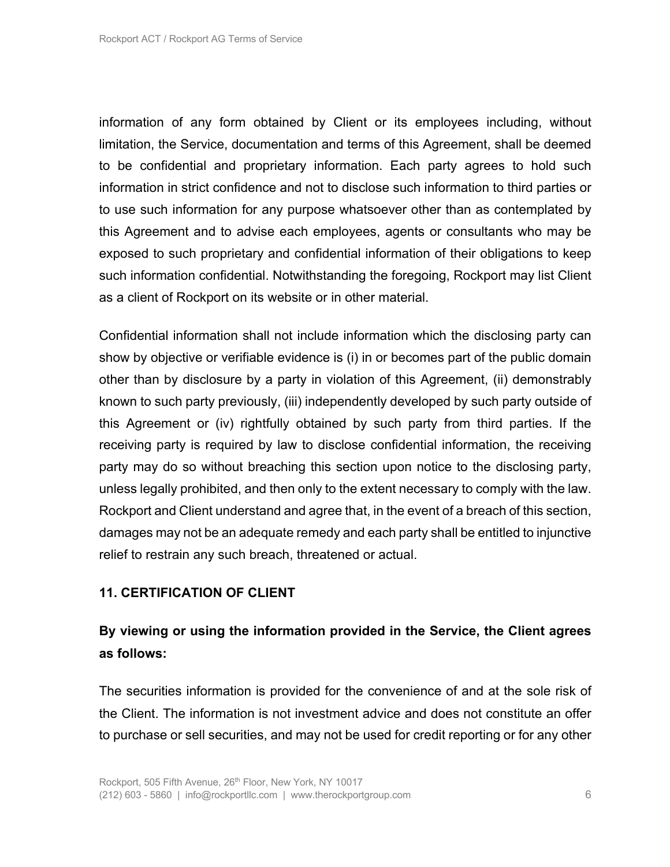information of any form obtained by Client or its employees including, without limitation, the Service, documentation and terms of this Agreement, shall be deemed to be confidential and proprietary information. Each party agrees to hold such information in strict confidence and not to disclose such information to third parties or to use such information for any purpose whatsoever other than as contemplated by this Agreement and to advise each employees, agents or consultants who may be exposed to such proprietary and confidential information of their obligations to keep such information confidential. Notwithstanding the foregoing, Rockport may list Client as a client of Rockport on its website or in other material.

Confidential information shall not include information which the disclosing party can show by objective or verifiable evidence is (i) in or becomes part of the public domain other than by disclosure by a party in violation of this Agreement, (ii) demonstrably known to such party previously, (iii) independently developed by such party outside of this Agreement or (iv) rightfully obtained by such party from third parties. If the receiving party is required by law to disclose confidential information, the receiving party may do so without breaching this section upon notice to the disclosing party, unless legally prohibited, and then only to the extent necessary to comply with the law. Rockport and Client understand and agree that, in the event of a breach of this section, damages may not be an adequate remedy and each party shall be entitled to injunctive relief to restrain any such breach, threatened or actual.

# **11. CERTIFICATION OF CLIENT**

# **By viewing or using the information provided in the Service, the Client agrees as follows:**

The securities information is provided for the convenience of and at the sole risk of the Client. The information is not investment advice and does not constitute an offer to purchase or sell securities, and may not be used for credit reporting or for any other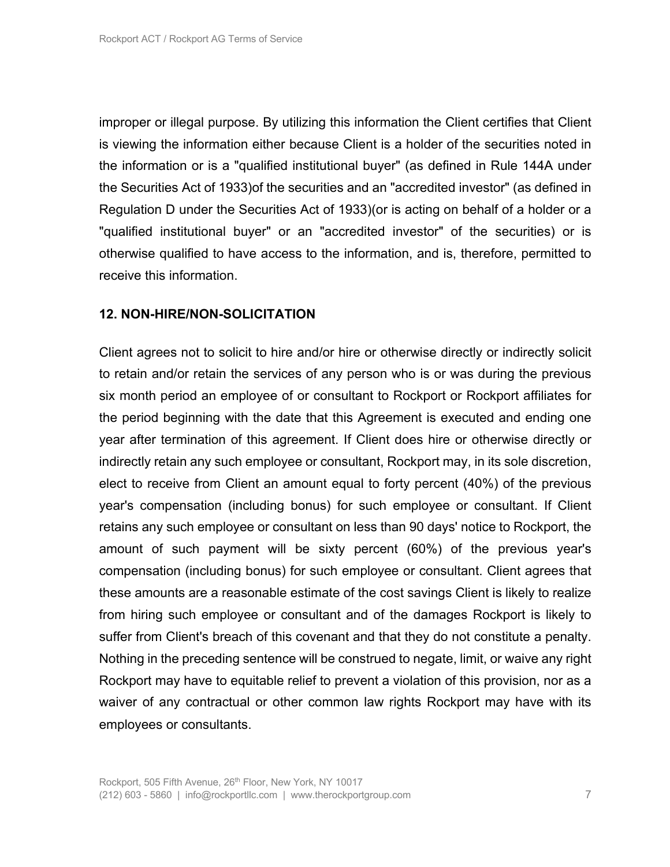improper or illegal purpose. By utilizing this information the Client certifies that Client is viewing the information either because Client is a holder of the securities noted in the information or is a "qualified institutional buyer" (as defined in Rule 144A under the Securities Act of 1933)of the securities and an "accredited investor" (as defined in Regulation D under the Securities Act of 1933)(or is acting on behalf of a holder or a "qualified institutional buyer" or an "accredited investor" of the securities) or is otherwise qualified to have access to the information, and is, therefore, permitted to receive this information.

## **12. NON-HIRE/NON-SOLICITATION**

Client agrees not to solicit to hire and/or hire or otherwise directly or indirectly solicit to retain and/or retain the services of any person who is or was during the previous six month period an employee of or consultant to Rockport or Rockport affiliates for the period beginning with the date that this Agreement is executed and ending one year after termination of this agreement. If Client does hire or otherwise directly or indirectly retain any such employee or consultant, Rockport may, in its sole discretion, elect to receive from Client an amount equal to forty percent (40%) of the previous year's compensation (including bonus) for such employee or consultant. If Client retains any such employee or consultant on less than 90 days' notice to Rockport, the amount of such payment will be sixty percent (60%) of the previous year's compensation (including bonus) for such employee or consultant. Client agrees that these amounts are a reasonable estimate of the cost savings Client is likely to realize from hiring such employee or consultant and of the damages Rockport is likely to suffer from Client's breach of this covenant and that they do not constitute a penalty. Nothing in the preceding sentence will be construed to negate, limit, or waive any right Rockport may have to equitable relief to prevent a violation of this provision, nor as a waiver of any contractual or other common law rights Rockport may have with its employees or consultants.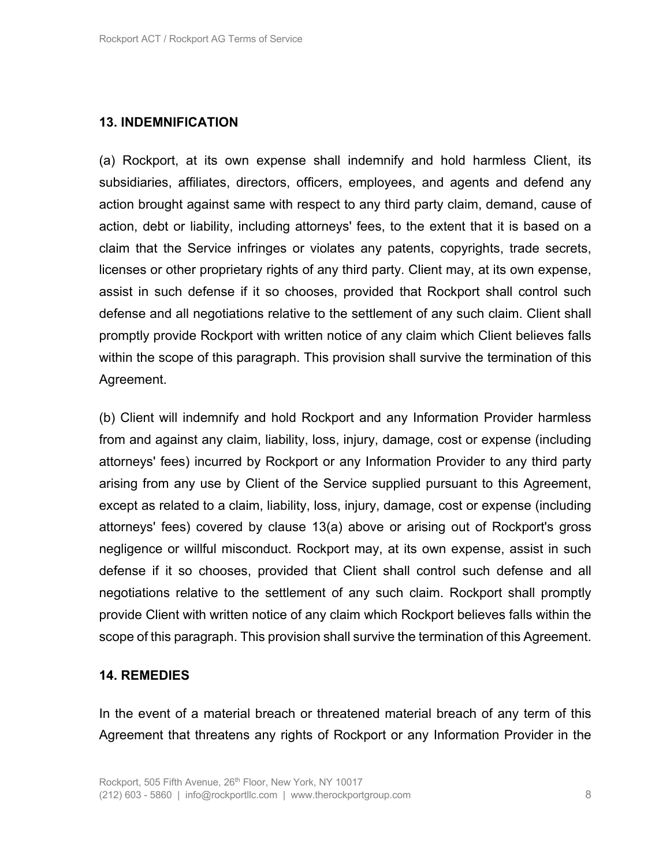# **13. INDEMNIFICATION**

(a) Rockport, at its own expense shall indemnify and hold harmless Client, its subsidiaries, affiliates, directors, officers, employees, and agents and defend any action brought against same with respect to any third party claim, demand, cause of action, debt or liability, including attorneys' fees, to the extent that it is based on a claim that the Service infringes or violates any patents, copyrights, trade secrets, licenses or other proprietary rights of any third party. Client may, at its own expense, assist in such defense if it so chooses, provided that Rockport shall control such defense and all negotiations relative to the settlement of any such claim. Client shall promptly provide Rockport with written notice of any claim which Client believes falls within the scope of this paragraph. This provision shall survive the termination of this Agreement.

(b) Client will indemnify and hold Rockport and any Information Provider harmless from and against any claim, liability, loss, injury, damage, cost or expense (including attorneys' fees) incurred by Rockport or any Information Provider to any third party arising from any use by Client of the Service supplied pursuant to this Agreement, except as related to a claim, liability, loss, injury, damage, cost or expense (including attorneys' fees) covered by clause 13(a) above or arising out of Rockport's gross negligence or willful misconduct. Rockport may, at its own expense, assist in such defense if it so chooses, provided that Client shall control such defense and all negotiations relative to the settlement of any such claim. Rockport shall promptly provide Client with written notice of any claim which Rockport believes falls within the scope of this paragraph. This provision shall survive the termination of this Agreement.

## **14. REMEDIES**

In the event of a material breach or threatened material breach of any term of this Agreement that threatens any rights of Rockport or any Information Provider in the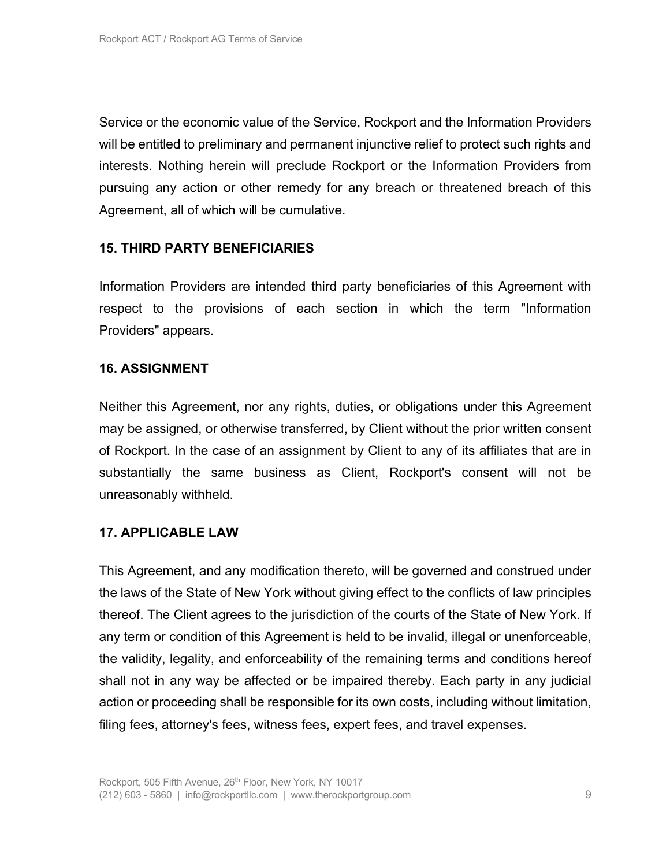Service or the economic value of the Service, Rockport and the Information Providers will be entitled to preliminary and permanent injunctive relief to protect such rights and interests. Nothing herein will preclude Rockport or the Information Providers from pursuing any action or other remedy for any breach or threatened breach of this Agreement, all of which will be cumulative.

# **15. THIRD PARTY BENEFICIARIES**

Information Providers are intended third party beneficiaries of this Agreement with respect to the provisions of each section in which the term "Information Providers" appears.

#### **16. ASSIGNMENT**

Neither this Agreement, nor any rights, duties, or obligations under this Agreement may be assigned, or otherwise transferred, by Client without the prior written consent of Rockport. In the case of an assignment by Client to any of its affiliates that are in substantially the same business as Client, Rockport's consent will not be unreasonably withheld.

## **17. APPLICABLE LAW**

This Agreement, and any modification thereto, will be governed and construed under the laws of the State of New York without giving effect to the conflicts of law principles thereof. The Client agrees to the jurisdiction of the courts of the State of New York. If any term or condition of this Agreement is held to be invalid, illegal or unenforceable, the validity, legality, and enforceability of the remaining terms and conditions hereof shall not in any way be affected or be impaired thereby. Each party in any judicial action or proceeding shall be responsible for its own costs, including without limitation, filing fees, attorney's fees, witness fees, expert fees, and travel expenses.